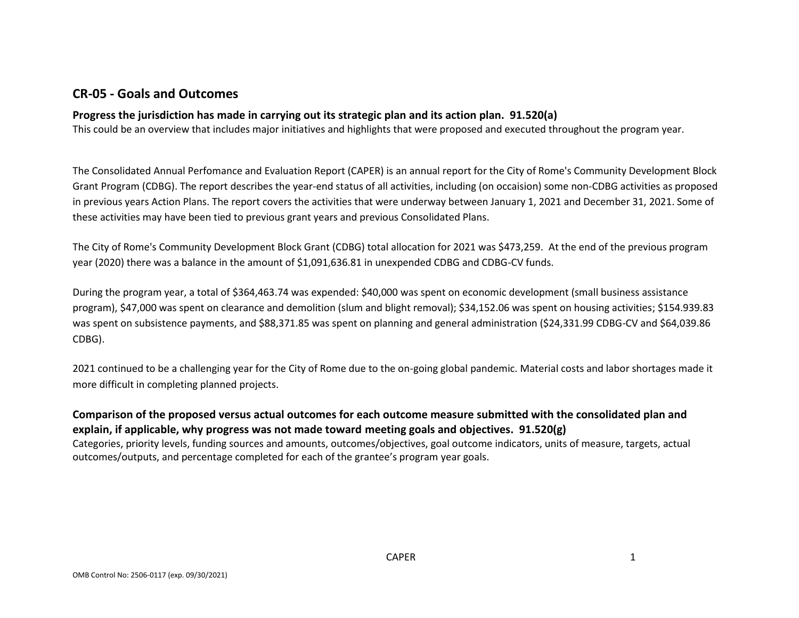### **CR-05 - Goals and Outcomes**

### **Progress the jurisdiction has made in carrying out its strategic plan and its action plan. 91.520(a)**

This could be an overview that includes major initiatives and highlights that were proposed and executed throughout the program year.

The Consolidated Annual Perfomance and Evaluation Report (CAPER) is an annual report for the City of Rome's Community Development Block Grant Program (CDBG). The report describes the year-end status of all activities, including (on occaision) some non-CDBG activities as proposed in previous years Action Plans. The report covers the activities that were underway between January 1, 2021 and December 31, 2021. Some of these activities may have been tied to previous grant years and previous Consolidated Plans.

The City of Rome's Community Development Block Grant (CDBG) total allocation for 2021 was \$473,259. At the end of the previous program year (2020) there was a balance in the amount of \$1,091,636.81 in unexpended CDBG and CDBG-CV funds.

During the program year, a total of \$364,463.74 was expended: \$40,000 was spent on economic development (small business assistance program), \$47,000 was spent on clearance and demolition (slum and blight removal); \$34,152.06 was spent on housing activities; \$154.939.83 was spent on subsistence payments, and \$88,371.85 was spent on planning and general administration (\$24,331.99 CDBG-CV and \$64,039.86 CDBG).

2021 continued to be a challenging year for the City of Rome due to the on-going global pandemic. Material costs and labor shortages made it more difficult in completing planned projects.

**Comparison of the proposed versus actual outcomes for each outcome measure submitted with the consolidated plan and explain, if applicable, why progress was not made toward meeting goals and objectives. 91.520(g)** Categories, priority levels, funding sources and amounts, outcomes/objectives, goal outcome indicators, units of measure, targets, actual outcomes/outputs, and percentage completed for each of the grantee's program year goals.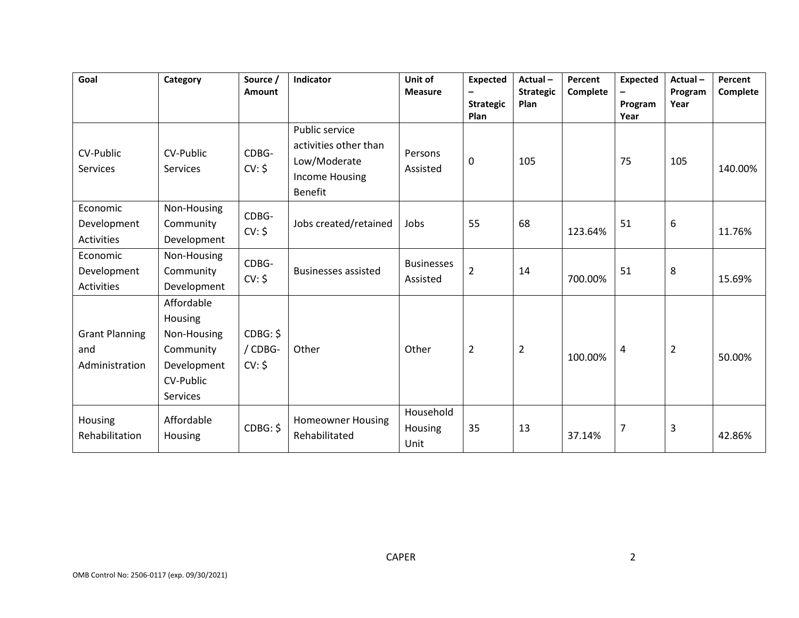| Goal                                           | Category                                                                                  | Source /<br>Amount            | <b>Indicator</b>                                                                                   | Unit of<br><b>Measure</b>     | <b>Expected</b><br><b>Strategic</b><br>Plan | Actual-<br><b>Strategic</b><br>Plan | Percent<br>Complete | <b>Expected</b><br>Program<br>Year | Actual-<br>Program<br>Year | Percent<br>Complete |
|------------------------------------------------|-------------------------------------------------------------------------------------------|-------------------------------|----------------------------------------------------------------------------------------------------|-------------------------------|---------------------------------------------|-------------------------------------|---------------------|------------------------------------|----------------------------|---------------------|
| CV-Public<br>Services                          | CV-Public<br><b>Services</b>                                                              | CDBG-<br>CV: \$               | Public service<br>activities other than<br>Low/Moderate<br><b>Income Housing</b><br><b>Benefit</b> | Persons<br>Assisted           | 0                                           | 105                                 |                     | 75                                 | 105                        | 140.00%             |
| Economic<br>Development<br><b>Activities</b>   | Non-Housing<br>Community<br>Development                                                   | CDBG-<br>CV: \$               | Jobs created/retained                                                                              | Jobs                          | 55                                          | 68                                  | 123.64%             | 51                                 | 6                          | 11.76%              |
| Economic<br>Development<br>Activities          | Non-Housing<br>Community<br>Development                                                   | CDBG-<br>CV: \$               | <b>Businesses assisted</b>                                                                         | <b>Businesses</b><br>Assisted | $\overline{2}$                              | 14                                  | 700.00%             | 51                                 | 8                          | 15.69%              |
| <b>Grant Planning</b><br>and<br>Administration | Affordable<br>Housing<br>Non-Housing<br>Community<br>Development<br>CV-Public<br>Services | CDBG: \$<br>/ CDBG-<br>CV: \$ | Other                                                                                              | Other                         | $\overline{2}$                              | $\overline{2}$                      | 100.00%             | 4                                  | $\overline{2}$             | 50.00%              |
| Housing<br>Rehabilitation                      | Affordable<br>Housing                                                                     | CDBG: \$                      | <b>Homeowner Housing</b><br>Rehabilitated                                                          | Household<br>Housing<br>Unit  | 35                                          | 13                                  | 37.14%              | $\overline{7}$                     | 3                          | 42.86%              |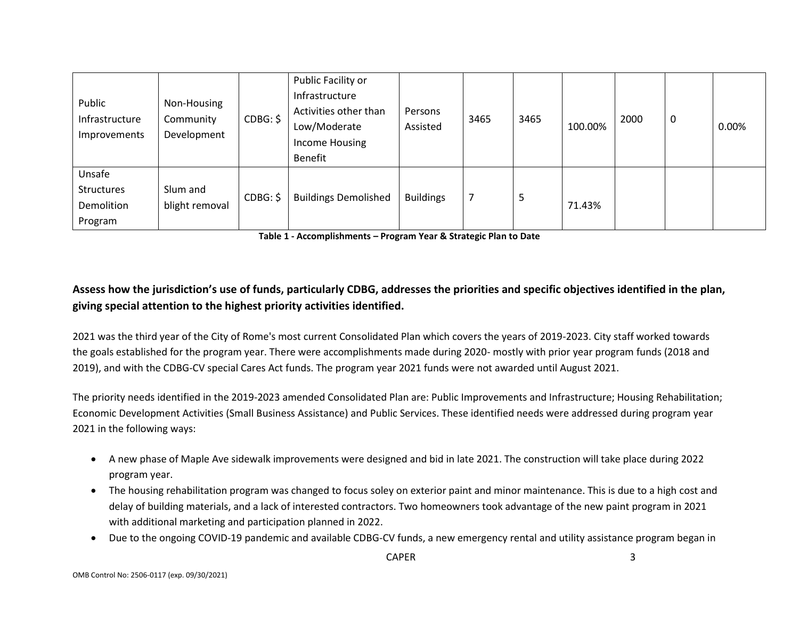| Public<br>Infrastructure<br>Improvements             | Non-Housing<br>Community<br>Development | CDBG: \$ | Public Facility or<br>Infrastructure<br>Activities other than<br>Low/Moderate<br>Income Housing<br>Benefit | Persons<br>Assisted | 3465 | 3465 | 100.00% | 2000 | $\mathbf 0$ | 0.00% |
|------------------------------------------------------|-----------------------------------------|----------|------------------------------------------------------------------------------------------------------------|---------------------|------|------|---------|------|-------------|-------|
| Unsafe<br><b>Structures</b><br>Demolition<br>Program | Slum and<br>blight removal              | CDBG: \$ | <b>Buildings Demolished</b>                                                                                | <b>Buildings</b>    |      | 5    | 71.43%  |      |             |       |

**Table 1 - Accomplishments – Program Year & Strategic Plan to Date**

### **Assess how the jurisdiction's use of funds, particularly CDBG, addresses the priorities and specific objectives identified in the plan, giving special attention to the highest priority activities identified.**

2021 was the third year of the City of Rome's most current Consolidated Plan which covers the years of 2019-2023. City staff worked towards the goals established for the program year. There were accomplishments made during 2020- mostly with prior year program funds (2018 and 2019), and with the CDBG-CV special Cares Act funds. The program year 2021 funds were not awarded until August 2021.

The priority needs identified in the 2019-2023 amended Consolidated Plan are: Public Improvements and Infrastructure; Housing Rehabilitation; Economic Development Activities (Small Business Assistance) and Public Services. These identified needs were addressed during program year 2021 in the following ways:

- A new phase of Maple Ave sidewalk improvements were designed and bid in late 2021. The construction will take place during 2022 program year.
- The housing rehabilitation program was changed to focus soley on exterior paint and minor maintenance. This is due to a high cost and delay of building materials, and a lack of interested contractors. Two homeowners took advantage of the new paint program in 2021 with additional marketing and participation planned in 2022.
- Due to the ongoing COVID-19 pandemic and available CDBG-CV funds, a new emergency rental and utility assistance program began in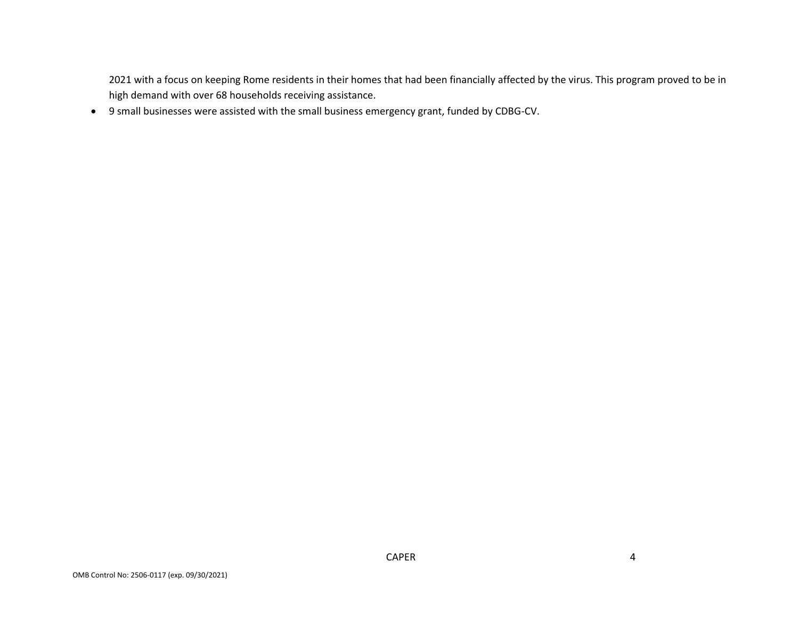2021 with a focus on keeping Rome residents in their homes that had been financially affected by the virus. This program proved to be in high demand with over 68 households receiving assistance.

• 9 small businesses were assisted with the small business emergency grant, funded by CDBG-CV.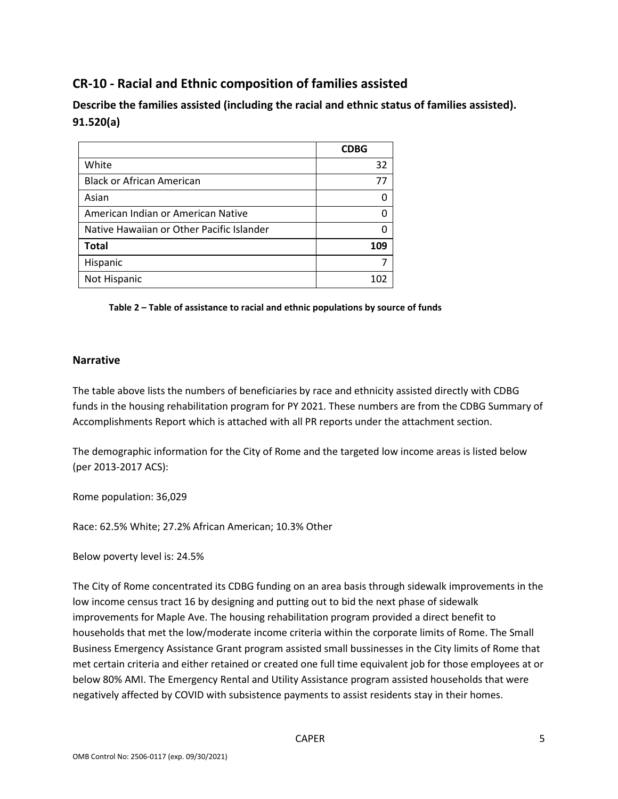# **CR-10 - Racial and Ethnic composition of families assisted**

**Describe the families assisted (including the racial and ethnic status of families assisted). 91.520(a)** 

|                                           | <b>CDBG</b> |
|-------------------------------------------|-------------|
| White                                     | 32          |
| <b>Black or African American</b>          | 77          |
| Asian                                     | O           |
| American Indian or American Native        |             |
| Native Hawaiian or Other Pacific Islander |             |
| <b>Total</b>                              | 109         |
| Hispanic                                  |             |
| Not Hispanic                              | 102         |

**Table 2 – Table of assistance to racial and ethnic populations by source of funds**

#### **Narrative**

The table above lists the numbers of beneficiaries by race and ethnicity assisted directly with CDBG funds in the housing rehabilitation program for PY 2021. These numbers are from the CDBG Summary of Accomplishments Report which is attached with all PR reports under the attachment section.

The demographic information for the City of Rome and the targeted low income areas is listed below (per 2013-2017 ACS):

Rome population: 36,029

Race: 62.5% White; 27.2% African American; 10.3% Other

Below poverty level is: 24.5%

The City of Rome concentrated its CDBG funding on an area basis through sidewalk improvements in the low income census tract 16 by designing and putting out to bid the next phase of sidewalk improvements for Maple Ave. The housing rehabilitation program provided a direct benefit to households that met the low/moderate income criteria within the corporate limits of Rome. The Small Business Emergency Assistance Grant program assisted small bussinesses in the City limits of Rome that met certain criteria and either retained or created one full time equivalent job for those employees at or below 80% AMI. The Emergency Rental and Utility Assistance program assisted households that were negatively affected by COVID with subsistence payments to assist residents stay in their homes.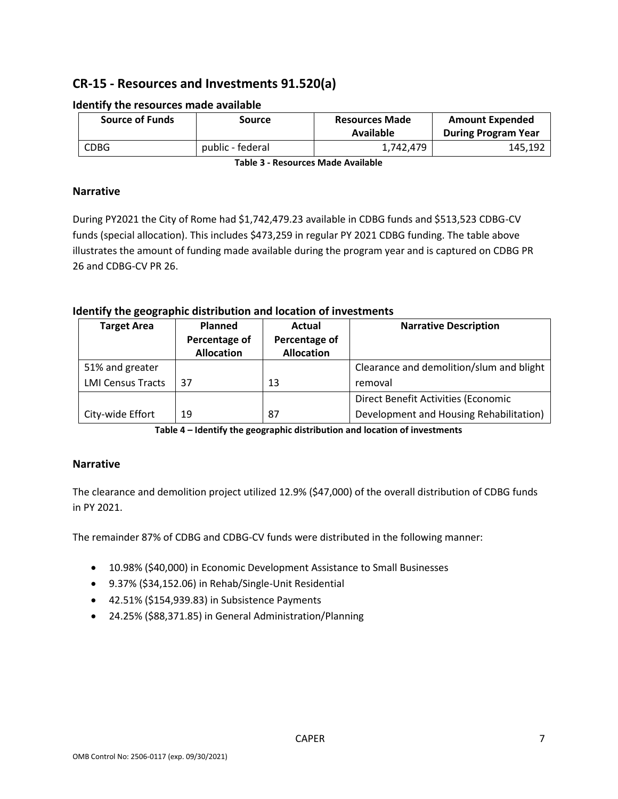# **CR-15 - Resources and Investments 91.520(a)**

| Source of Funds | Source           | <b>Resources Made</b><br>Available | <b>Amount Expended</b><br><b>During Program Year</b> |
|-----------------|------------------|------------------------------------|------------------------------------------------------|
| <b>CDBG</b>     | public - federal | 1,742,479                          | 145,192                                              |

#### **Identify the resources made available**

**Table 3 - Resources Made Available**

#### **Narrative**

During PY2021 the City of Rome had \$1,742,479.23 available in CDBG funds and \$513,523 CDBG-CV funds (special allocation). This includes \$473,259 in regular PY 2021 CDBG funding. The table above illustrates the amount of funding made available during the program year and is captured on CDBG PR 26 and CDBG-CV PR 26.

#### **Identify the geographic distribution and location of investments**

| <b>Target Area</b>       | <b>Planned</b>                     | Actual                             | <b>Narrative Description</b>             |
|--------------------------|------------------------------------|------------------------------------|------------------------------------------|
|                          | Percentage of<br><b>Allocation</b> | Percentage of<br><b>Allocation</b> |                                          |
| 51% and greater          |                                    |                                    | Clearance and demolition/slum and blight |
| <b>LMI Census Tracts</b> | 37                                 | 13                                 | removal                                  |
|                          |                                    |                                    | Direct Benefit Activities (Economic      |
| City-wide Effort         | 19                                 | 87                                 | Development and Housing Rehabilitation)  |

**Table 4 – Identify the geographic distribution and location of investments**

#### **Narrative**

The clearance and demolition project utilized 12.9% (\$47,000) of the overall distribution of CDBG funds in PY 2021.

The remainder 87% of CDBG and CDBG-CV funds were distributed in the following manner:

- 10.98% (\$40,000) in Economic Development Assistance to Small Businesses
- 9.37% (\$34,152.06) in Rehab/Single-Unit Residential
- 42.51% (\$154,939.83) in Subsistence Payments
- 24.25% (\$88,371.85) in General Administration/Planning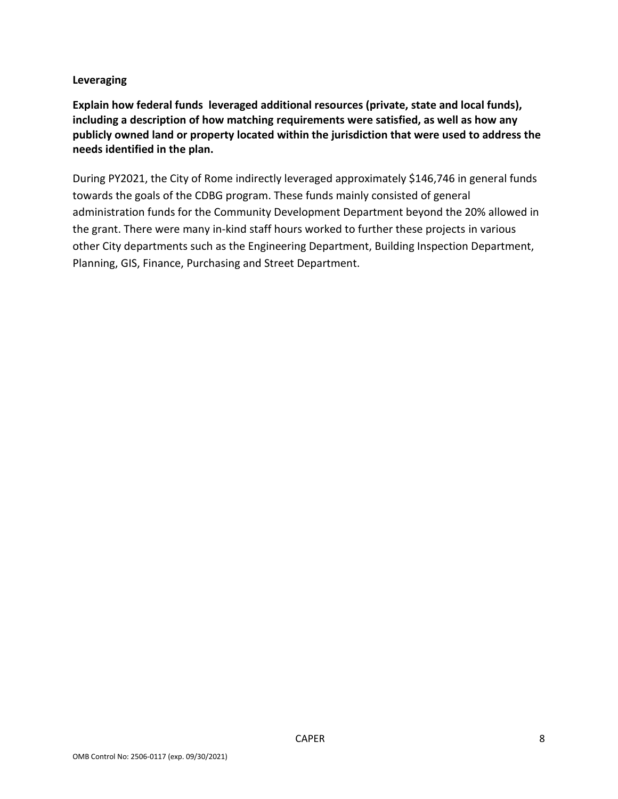#### **Leveraging**

**Explain how federal funds leveraged additional resources (private, state and local funds), including a description of how matching requirements were satisfied, as well as how any publicly owned land or property located within the jurisdiction that were used to address the needs identified in the plan.**

During PY2021, the City of Rome indirectly leveraged approximately \$146,746 in general funds towards the goals of the CDBG program. These funds mainly consisted of general administration funds for the Community Development Department beyond the 20% allowed in the grant. There were many in-kind staff hours worked to further these projects in various other City departments such as the Engineering Department, Building Inspection Department, Planning, GIS, Finance, Purchasing and Street Department.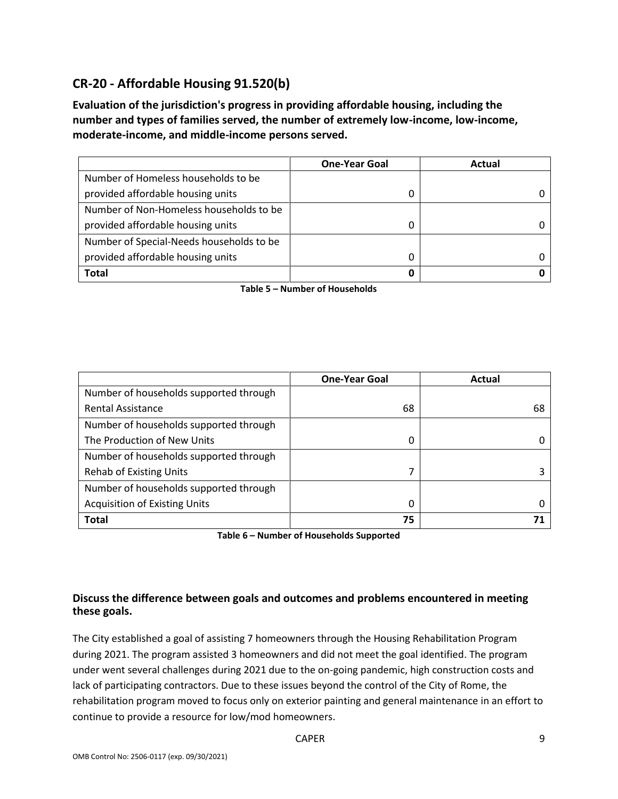# **CR-20 - Affordable Housing 91.520(b)**

**Evaluation of the jurisdiction's progress in providing affordable housing, including the number and types of families served, the number of extremely low-income, low-income, moderate-income, and middle-income persons served.**

|                                          | <b>One-Year Goal</b> | Actual |
|------------------------------------------|----------------------|--------|
| Number of Homeless households to be      |                      |        |
| provided affordable housing units        |                      |        |
| Number of Non-Homeless households to be  |                      |        |
| provided affordable housing units        |                      |        |
| Number of Special-Needs households to be |                      |        |
| provided affordable housing units        |                      |        |
| Total                                    |                      |        |

**Table 5 – Number of Households**

|                                        | <b>One-Year Goal</b> | Actual |
|----------------------------------------|----------------------|--------|
| Number of households supported through |                      |        |
| <b>Rental Assistance</b>               | 68                   | 68     |
| Number of households supported through |                      |        |
| The Production of New Units            | 0                    |        |
| Number of households supported through |                      |        |
| <b>Rehab of Existing Units</b>         | 7                    |        |
| Number of households supported through |                      |        |
| <b>Acquisition of Existing Units</b>   | 0                    |        |
| <b>Total</b>                           | 75                   |        |

**Table 6 – Number of Households Supported**

### **Discuss the difference between goals and outcomes and problems encountered in meeting these goals.**

The City established a goal of assisting 7 homeowners through the Housing Rehabilitation Program during 2021. The program assisted 3 homeowners and did not meet the goal identified. The program under went several challenges during 2021 due to the on-going pandemic, high construction costs and lack of participating contractors. Due to these issues beyond the control of the City of Rome, the rehabilitation program moved to focus only on exterior painting and general maintenance in an effort to continue to provide a resource for low/mod homeowners.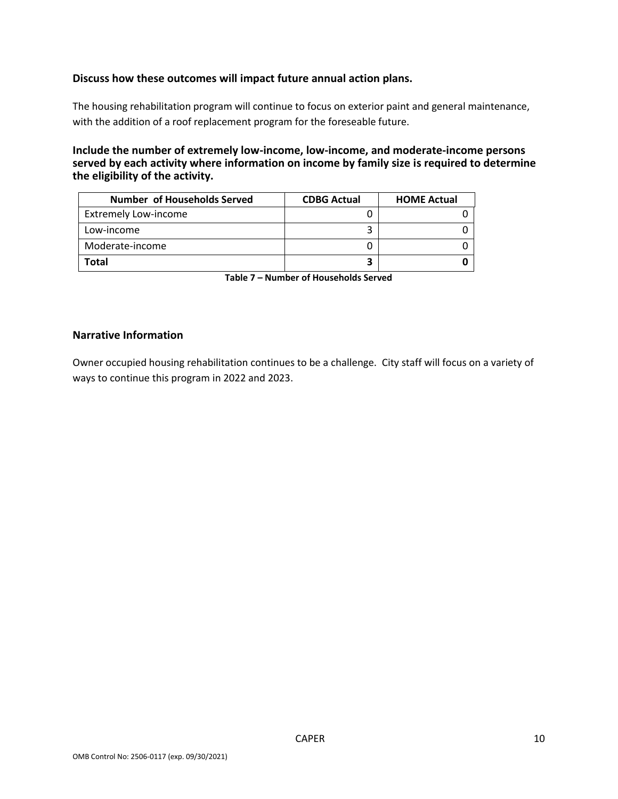#### **Discuss how these outcomes will impact future annual action plans.**

The housing rehabilitation program will continue to focus on exterior paint and general maintenance, with the addition of a roof replacement program for the foreseable future.

**Include the number of extremely low-income, low-income, and moderate-income persons served by each activity where information on income by family size is required to determine the eligibility of the activity.**

| <b>Number of Households Served</b> | <b>CDBG Actual</b> | <b>HOME Actual</b> |
|------------------------------------|--------------------|--------------------|
| <b>Extremely Low-income</b>        |                    |                    |
| Low-income                         |                    |                    |
| Moderate-income                    |                    |                    |
| <b>Total</b>                       |                    |                    |

**Table 7 – Number of Households Served**

#### **Narrative Information**

Owner occupied housing rehabilitation continues to be a challenge. City staff will focus on a variety of ways to continue this program in 2022 and 2023.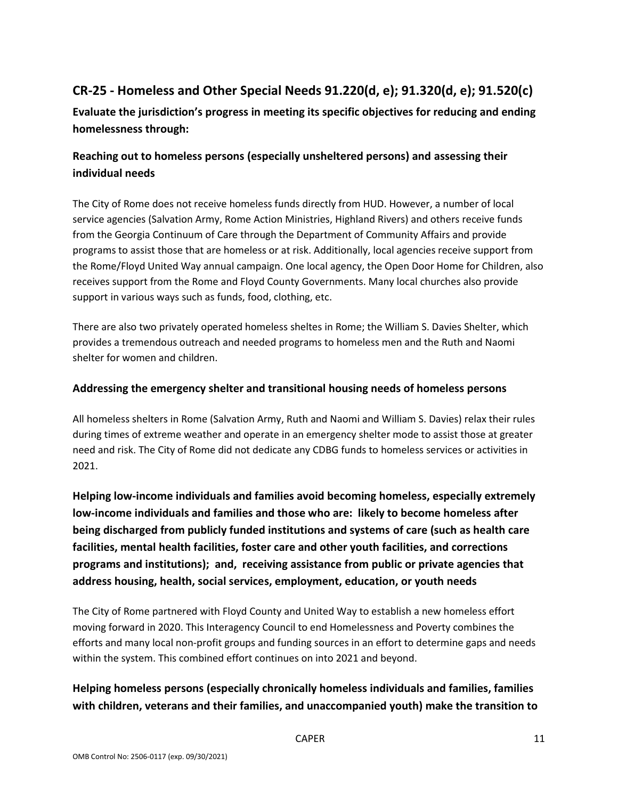# **CR-25 - Homeless and Other Special Needs 91.220(d, e); 91.320(d, e); 91.520(c)**

**Evaluate the jurisdiction's progress in meeting its specific objectives for reducing and ending homelessness through:**

### **Reaching out to homeless persons (especially unsheltered persons) and assessing their individual needs**

The City of Rome does not receive homeless funds directly from HUD. However, a number of local service agencies (Salvation Army, Rome Action Ministries, Highland Rivers) and others receive funds from the Georgia Continuum of Care through the Department of Community Affairs and provide programs to assist those that are homeless or at risk. Additionally, local agencies receive support from the Rome/Floyd United Way annual campaign. One local agency, the Open Door Home for Children, also receives support from the Rome and Floyd County Governments. Many local churches also provide support in various ways such as funds, food, clothing, etc.

There are also two privately operated homeless sheltes in Rome; the William S. Davies Shelter, which provides a tremendous outreach and needed programs to homeless men and the Ruth and Naomi shelter for women and children.

### **Addressing the emergency shelter and transitional housing needs of homeless persons**

All homeless shelters in Rome (Salvation Army, Ruth and Naomi and William S. Davies) relax their rules during times of extreme weather and operate in an emergency shelter mode to assist those at greater need and risk. The City of Rome did not dedicate any CDBG funds to homeless services or activities in 2021.

**Helping low-income individuals and families avoid becoming homeless, especially extremely low-income individuals and families and those who are: likely to become homeless after being discharged from publicly funded institutions and systems of care (such as health care facilities, mental health facilities, foster care and other youth facilities, and corrections programs and institutions); and, receiving assistance from public or private agencies that address housing, health, social services, employment, education, or youth needs**

The City of Rome partnered with Floyd County and United Way to establish a new homeless effort moving forward in 2020. This Interagency Council to end Homelessness and Poverty combines the efforts and many local non-profit groups and funding sources in an effort to determine gaps and needs within the system. This combined effort continues on into 2021 and beyond.

### **Helping homeless persons (especially chronically homeless individuals and families, families with children, veterans and their families, and unaccompanied youth) make the transition to**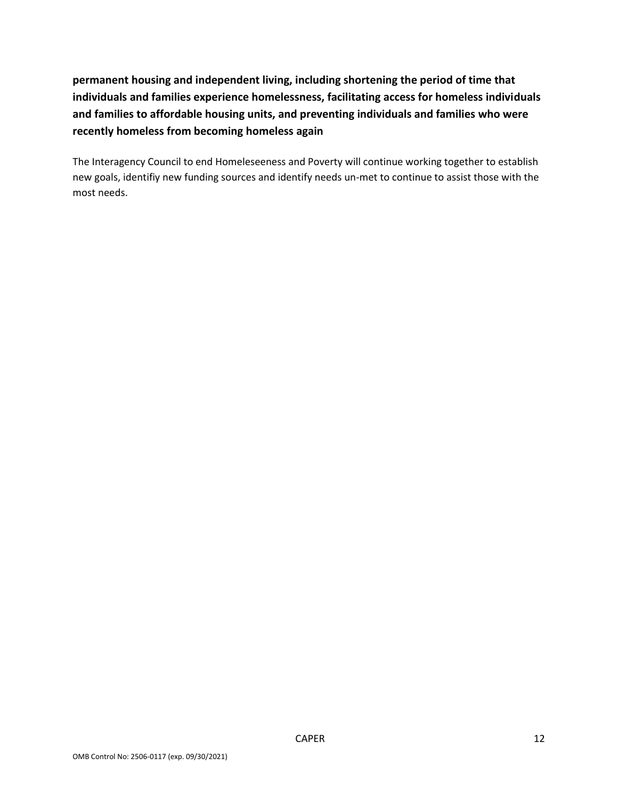**permanent housing and independent living, including shortening the period of time that individuals and families experience homelessness, facilitating access for homeless individuals and families to affordable housing units, and preventing individuals and families who were recently homeless from becoming homeless again**

The Interagency Council to end Homeleseeness and Poverty will continue working together to establish new goals, identifiy new funding sources and identify needs un-met to continue to assist those with the most needs.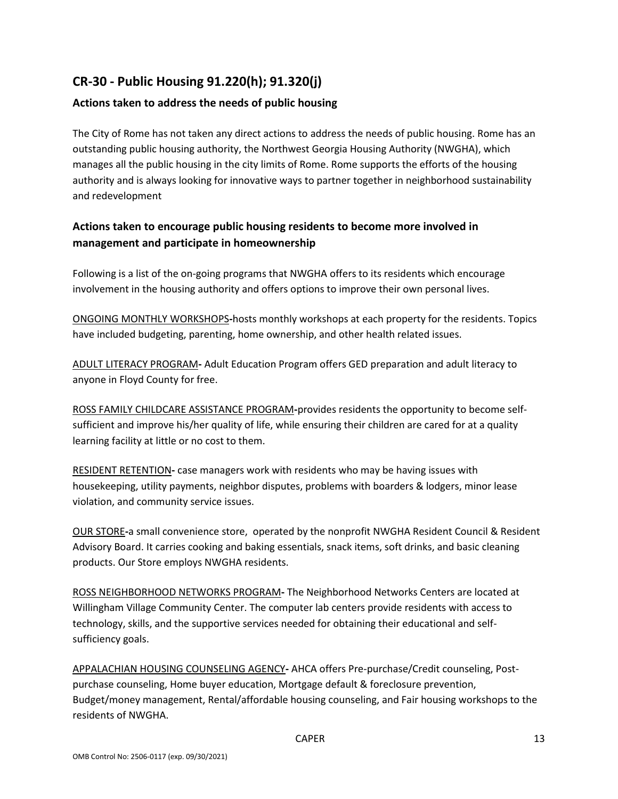# **CR-30 - Public Housing 91.220(h); 91.320(j)**

### **Actions taken to address the needs of public housing**

The City of Rome has not taken any direct actions to address the needs of public housing. Rome has an outstanding public housing authority, the Northwest Georgia Housing Authority (NWGHA), which manages all the public housing in the city limits of Rome. Rome supports the efforts of the housing authority and is always looking for innovative ways to partner together in neighborhood sustainability and redevelopment

### **Actions taken to encourage public housing residents to become more involved in management and participate in homeownership**

Following is a list of the on-going programs that NWGHA offers to its residents which encourage involvement in the housing authority and offers options to improve their own personal lives.

ONGOING MONTHLY WORKSHOPS**-**hosts monthly workshops at each property for the residents. Topics have included budgeting, parenting, home ownership, and other health related issues.

ADULT LITERACY PROGRAM**-** Adult Education Program offers GED preparation and adult literacy to anyone in Floyd County for free.

ROSS FAMILY CHILDCARE ASSISTANCE PROGRAM**-**provides residents the opportunity to become selfsufficient and improve his/her quality of life, while ensuring their children are cared for at a quality learning facility at little or no cost to them.

RESIDENT RETENTION**-** case managers work with residents who may be having issues with housekeeping, utility payments, neighbor disputes, problems with boarders & lodgers, minor lease violation, and community service issues.

OUR STORE**-**a small convenience store, operated by the nonprofit NWGHA Resident Council & Resident Advisory Board. It carries cooking and baking essentials, snack items, soft drinks, and basic cleaning products. Our Store employs NWGHA residents.

ROSS NEIGHBORHOOD NETWORKS PROGRAM**-** The Neighborhood Networks Centers are located at Willingham Village Community Center. The computer lab centers provide residents with access to technology, skills, and the supportive services needed for obtaining their educational and selfsufficiency goals.

APPALACHIAN HOUSING COUNSELING AGENCY**-** AHCA offers Pre-purchase/Credit counseling, Postpurchase counseling, Home buyer education, Mortgage default & foreclosure prevention, Budget/money management, Rental/affordable housing counseling, and Fair housing workshops to the residents of NWGHA.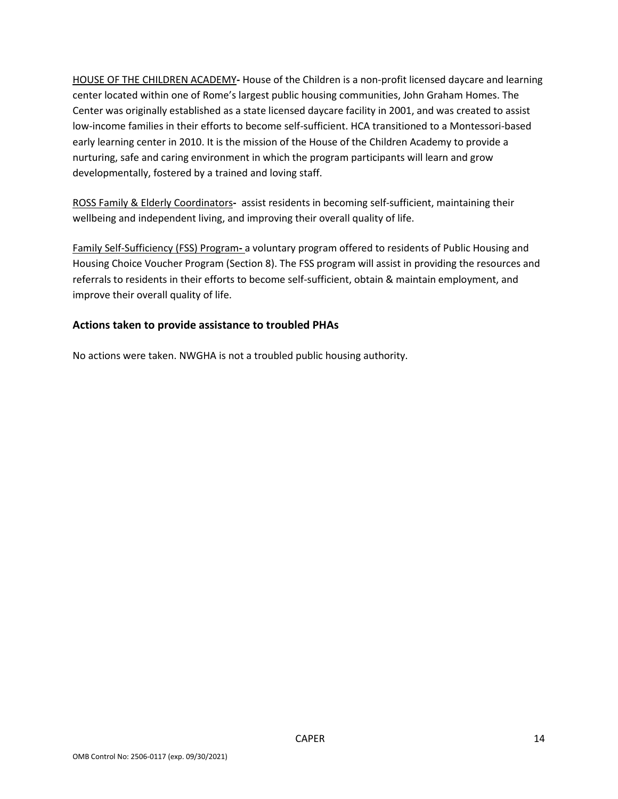HOUSE OF THE CHILDREN ACADEMY**-** House of the Children is a non-profit licensed daycare and learning center located within one of Rome's largest public housing communities, John Graham Homes. The Center was originally established as a state licensed daycare facility in 2001, and was created to assist low-income families in their efforts to become self-sufficient. HCA transitioned to a Montessori-based early learning center in 2010. It is the mission of the House of the Children Academy to provide a nurturing, safe and caring environment in which the program participants will learn and grow developmentally, fostered by a trained and loving staff.

ROSS Family & Elderly Coordinators**-** assist residents in becoming self-sufficient, maintaining their wellbeing and independent living, and improving their overall quality of life.

Family Self-Sufficiency (FSS) Program**-** a voluntary program offered to residents of Public Housing and Housing Choice Voucher Program (Section 8). The FSS program will assist in providing the resources and referrals to residents in their efforts to become self-sufficient, obtain & maintain employment, and improve their overall quality of life.

### **Actions taken to provide assistance to troubled PHAs**

No actions were taken. NWGHA is not a troubled public housing authority.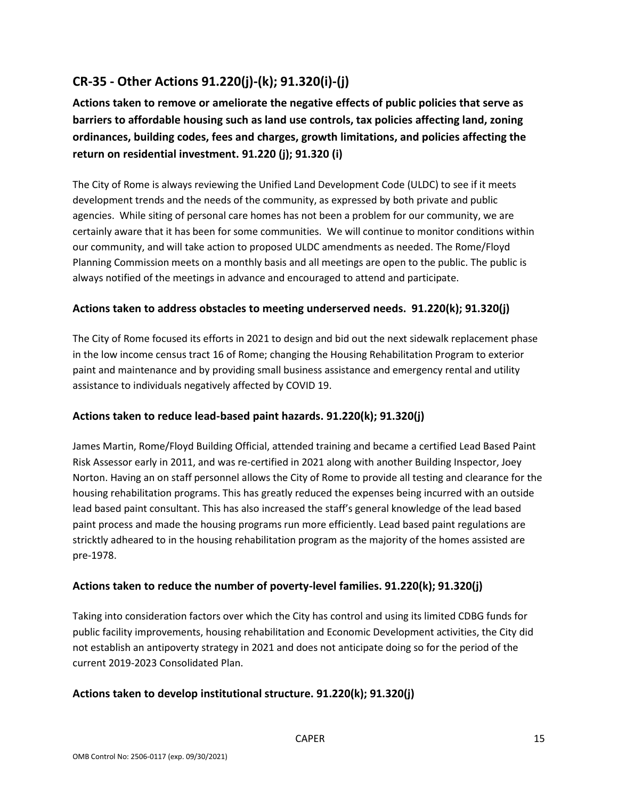# **CR-35 - Other Actions 91.220(j)-(k); 91.320(i)-(j)**

**Actions taken to remove or ameliorate the negative effects of public policies that serve as barriers to affordable housing such as land use controls, tax policies affecting land, zoning ordinances, building codes, fees and charges, growth limitations, and policies affecting the return on residential investment. 91.220 (j); 91.320 (i)**

The City of Rome is always reviewing the Unified Land Development Code (ULDC) to see if it meets development trends and the needs of the community, as expressed by both private and public agencies. While siting of personal care homes has not been a problem for our community, we are certainly aware that it has been for some communities. We will continue to monitor conditions within our community, and will take action to proposed ULDC amendments as needed. The Rome/Floyd Planning Commission meets on a monthly basis and all meetings are open to the public. The public is always notified of the meetings in advance and encouraged to attend and participate.

### **Actions taken to address obstacles to meeting underserved needs. 91.220(k); 91.320(j)**

The City of Rome focused its efforts in 2021 to design and bid out the next sidewalk replacement phase in the low income census tract 16 of Rome; changing the Housing Rehabilitation Program to exterior paint and maintenance and by providing small business assistance and emergency rental and utility assistance to individuals negatively affected by COVID 19.

#### **Actions taken to reduce lead-based paint hazards. 91.220(k); 91.320(j)**

James Martin, Rome/Floyd Building Official, attended training and became a certified Lead Based Paint Risk Assessor early in 2011, and was re-certified in 2021 along with another Building Inspector, Joey Norton. Having an on staff personnel allows the City of Rome to provide all testing and clearance for the housing rehabilitation programs. This has greatly reduced the expenses being incurred with an outside lead based paint consultant. This has also increased the staff's general knowledge of the lead based paint process and made the housing programs run more efficiently. Lead based paint regulations are stricktly adheared to in the housing rehabilitation program as the majority of the homes assisted are pre-1978.

### **Actions taken to reduce the number of poverty-level families. 91.220(k); 91.320(j)**

Taking into consideration factors over which the City has control and using its limited CDBG funds for public facility improvements, housing rehabilitation and Economic Development activities, the City did not establish an antipoverty strategy in 2021 and does not anticipate doing so for the period of the current 2019-2023 Consolidated Plan.

#### **Actions taken to develop institutional structure. 91.220(k); 91.320(j)**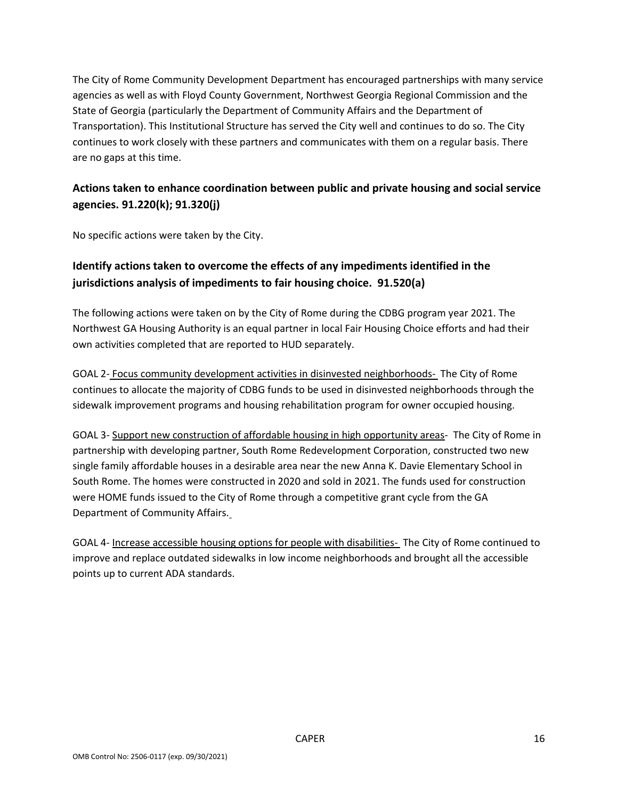The City of Rome Community Development Department has encouraged partnerships with many service agencies as well as with Floyd County Government, Northwest Georgia Regional Commission and the State of Georgia (particularly the Department of Community Affairs and the Department of Transportation). This Institutional Structure has served the City well and continues to do so. The City continues to work closely with these partners and communicates with them on a regular basis. There are no gaps at this time.

### **Actions taken to enhance coordination between public and private housing and social service agencies. 91.220(k); 91.320(j)**

No specific actions were taken by the City.

### **Identify actions taken to overcome the effects of any impediments identified in the jurisdictions analysis of impediments to fair housing choice. 91.520(a)**

The following actions were taken on by the City of Rome during the CDBG program year 2021. The Northwest GA Housing Authority is an equal partner in local Fair Housing Choice efforts and had their own activities completed that are reported to HUD separately.

GOAL 2- Focus community development activities in disinvested neighborhoods- The City of Rome continues to allocate the majority of CDBG funds to be used in disinvested neighborhoods through the sidewalk improvement programs and housing rehabilitation program for owner occupied housing.

GOAL 3- Support new construction of affordable housing in high opportunity areas- The City of Rome in partnership with developing partner, South Rome Redevelopment Corporation, constructed two new single family affordable houses in a desirable area near the new Anna K. Davie Elementary School in South Rome. The homes were constructed in 2020 and sold in 2021. The funds used for construction were HOME funds issued to the City of Rome through a competitive grant cycle from the GA Department of Community Affairs.

GOAL 4- Increase accessible housing options for people with disabilities- The City of Rome continued to improve and replace outdated sidewalks in low income neighborhoods and brought all the accessible points up to current ADA standards.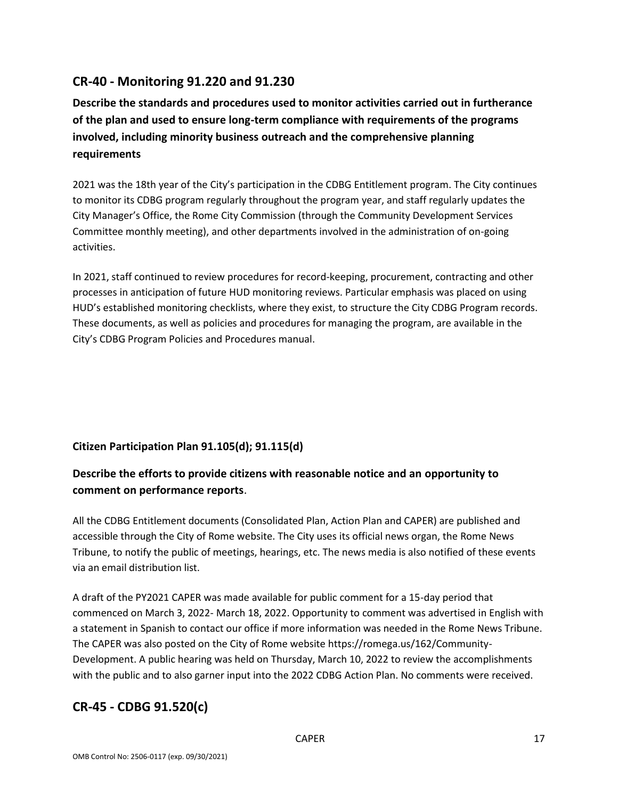### **CR-40 - Monitoring 91.220 and 91.230**

**Describe the standards and procedures used to monitor activities carried out in furtherance of the plan and used to ensure long-term compliance with requirements of the programs involved, including minority business outreach and the comprehensive planning requirements**

2021 was the 18th year of the City's participation in the CDBG Entitlement program. The City continues to monitor its CDBG program regularly throughout the program year, and staff regularly updates the City Manager's Office, the Rome City Commission (through the Community Development Services Committee monthly meeting), and other departments involved in the administration of on-going activities.

In 2021, staff continued to review procedures for record-keeping, procurement, contracting and other processes in anticipation of future HUD monitoring reviews. Particular emphasis was placed on using HUD's established monitoring checklists, where they exist, to structure the City CDBG Program records. These documents, as well as policies and procedures for managing the program, are available in the City's CDBG Program Policies and Procedures manual.

### **Citizen Participation Plan 91.105(d); 91.115(d)**

### **Describe the efforts to provide citizens with reasonable notice and an opportunity to comment on performance reports**.

All the CDBG Entitlement documents (Consolidated Plan, Action Plan and CAPER) are published and accessible through the City of Rome website. The City uses its official news organ, the Rome News Tribune, to notify the public of meetings, hearings, etc. The news media is also notified of these events via an email distribution list.

A draft of the PY2021 CAPER was made available for public comment for a 15-day period that commenced on March 3, 2022- March 18, 2022. Opportunity to comment was advertised in English with a statement in Spanish to contact our office if more information was needed in the Rome News Tribune. The CAPER was also posted on the City of Rome website https://romega.us/162/Community-Development. A public hearing was held on Thursday, March 10, 2022 to review the accomplishments with the public and to also garner input into the 2022 CDBG Action Plan. No comments were received.

## **CR-45 - CDBG 91.520(c)**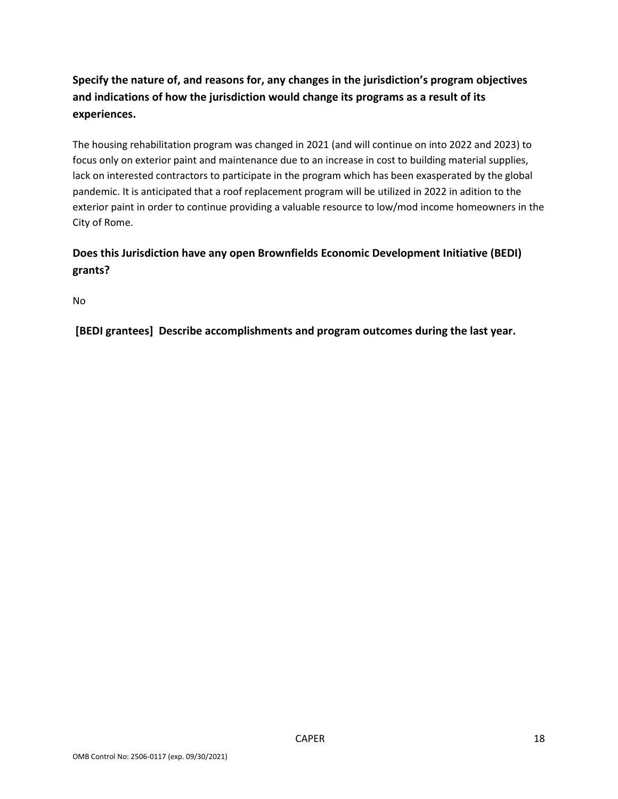# **Specify the nature of, and reasons for, any changes in the jurisdiction's program objectives and indications of how the jurisdiction would change its programs as a result of its experiences.**

The housing rehabilitation program was changed in 2021 (and will continue on into 2022 and 2023) to focus only on exterior paint and maintenance due to an increase in cost to building material supplies, lack on interested contractors to participate in the program which has been exasperated by the global pandemic. It is anticipated that a roof replacement program will be utilized in 2022 in adition to the exterior paint in order to continue providing a valuable resource to low/mod income homeowners in the City of Rome.

### **Does this Jurisdiction have any open Brownfields Economic Development Initiative (BEDI) grants?**

No

**[BEDI grantees] Describe accomplishments and program outcomes during the last year.**